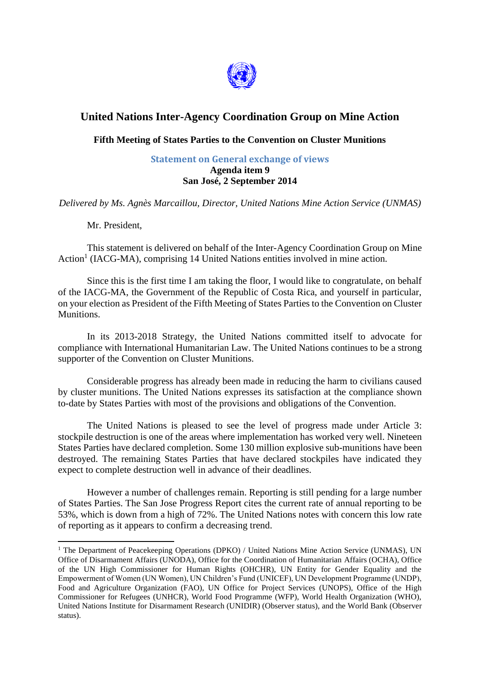

## **United Nations Inter-Agency Coordination Group on Mine Action**

## **Fifth Meeting of States Parties to the Convention on Cluster Munitions**

## **Statement on General exchange of views Agenda item 9 San José, 2 September 2014**

*Delivered by Ms. Agnès Marcaillou, Director, United Nations Mine Action Service (UNMAS)*

Mr. President,

1

This statement is delivered on behalf of the Inter-Agency Coordination Group on Mine Action<sup>1</sup> (IACG-MA), comprising 14 United Nations entities involved in mine action.

Since this is the first time I am taking the floor, I would like to congratulate, on behalf of the IACG-MA, the Government of the Republic of Costa Rica, and yourself in particular, on your election as President of the Fifth Meeting of States Parties to the Convention on Cluster Munitions.

In its 2013-2018 Strategy, the United Nations committed itself to advocate for compliance with International Humanitarian Law. The United Nations continues to be a strong supporter of the Convention on Cluster Munitions.

Considerable progress has already been made in reducing the harm to civilians caused by cluster munitions. The United Nations expresses its satisfaction at the compliance shown to-date by States Parties with most of the provisions and obligations of the Convention.

The United Nations is pleased to see the level of progress made under Article 3: stockpile destruction is one of the areas where implementation has worked very well. Nineteen States Parties have declared completion. Some 130 million explosive sub-munitions have been destroyed. The remaining States Parties that have declared stockpiles have indicated they expect to complete destruction well in advance of their deadlines.

However a number of challenges remain. Reporting is still pending for a large number of States Parties. The San Jose Progress Report cites the current rate of annual reporting to be 53%, which is down from a high of 72%. The United Nations notes with concern this low rate of reporting as it appears to confirm a decreasing trend.

<sup>&</sup>lt;sup>1</sup> The Department of Peacekeeping Operations (DPKO) / United Nations Mine Action Service (UNMAS), UN Office of Disarmament Affairs (UNODA), Office for the Coordination of Humanitarian Affairs (OCHA), Office of the UN High Commissioner for Human Rights (OHCHR), UN Entity for Gender Equality and the Empowerment of Women (UN Women), UN Children's Fund (UNICEF), UN Development Programme (UNDP), Food and Agriculture Organization (FAO), UN Office for Project Services (UNOPS), Office of the High Commissioner for Refugees (UNHCR), World Food Programme (WFP), World Health Organization (WHO), United Nations Institute for Disarmament Research (UNIDIR) (Observer status), and the World Bank (Observer status).